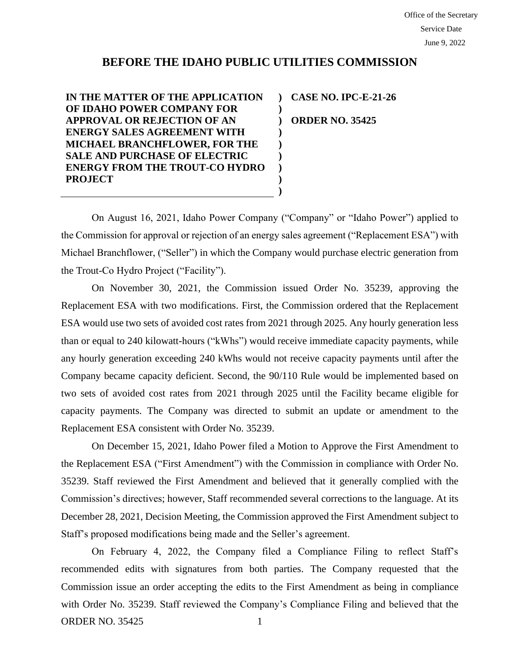## **BEFORE THE IDAHO PUBLIC UTILITIES COMMISSION**

**) ) ) ) ) ) ) ) )**

**IN THE MATTER OF THE APPLICATION OF IDAHO POWER COMPANY FOR APPROVAL OR REJECTION OF AN ENERGY SALES AGREEMENT WITH MICHAEL BRANCHFLOWER, FOR THE SALE AND PURCHASE OF ELECTRIC ENERGY FROM THE TROUT-CO HYDRO PROJECT**

**CASE NO. IPC-E-21-26 ORDER NO. 35425**

On August 16, 2021, Idaho Power Company ("Company" or "Idaho Power") applied to the Commission for approval or rejection of an energy sales agreement ("Replacement ESA") with Michael Branchflower, ("Seller") in which the Company would purchase electric generation from the Trout-Co Hydro Project ("Facility").

On November 30, 2021, the Commission issued Order No. 35239, approving the Replacement ESA with two modifications. First, the Commission ordered that the Replacement ESA would use two sets of avoided cost rates from 2021 through 2025. Any hourly generation less than or equal to 240 kilowatt-hours ("kWhs") would receive immediate capacity payments, while any hourly generation exceeding 240 kWhs would not receive capacity payments until after the Company became capacity deficient. Second, the 90/110 Rule would be implemented based on two sets of avoided cost rates from 2021 through 2025 until the Facility became eligible for capacity payments. The Company was directed to submit an update or amendment to the Replacement ESA consistent with Order No. 35239.

On December 15, 2021, Idaho Power filed a Motion to Approve the First Amendment to the Replacement ESA ("First Amendment") with the Commission in compliance with Order No. 35239. Staff reviewed the First Amendment and believed that it generally complied with the Commission's directives; however, Staff recommended several corrections to the language. At its December 28, 2021, Decision Meeting, the Commission approved the First Amendment subject to Staff's proposed modifications being made and the Seller's agreement.

ORDER NO. 35425 1 On February 4, 2022, the Company filed a Compliance Filing to reflect Staff's recommended edits with signatures from both parties. The Company requested that the Commission issue an order accepting the edits to the First Amendment as being in compliance with Order No. 35239. Staff reviewed the Company's Compliance Filing and believed that the